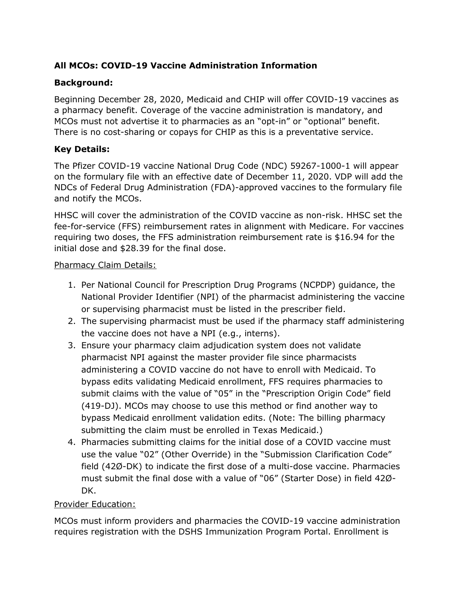# **All MCOs: COVID-19 Vaccine Administration Information**

### **Background:**

Beginning December 28, 2020, Medicaid and CHIP will offer COVID-19 vaccines as a pharmacy benefit. Coverage of the vaccine administration is mandatory, and MCOs must not advertise it to pharmacies as an "opt-in" or "optional" benefit. There is no cost-sharing or copays for CHIP as this is a preventative service.

### **Key Details:**

The Pfizer COVID-19 vaccine National Drug Code (NDC) 59267-1000-1 will appear on the formulary file with an effective date of December 11, 2020. VDP will add the NDCs of Federal Drug Administration (FDA)-approved vaccines to the formulary file and notify the MCOs.

HHSC will cover the administration of the COVID vaccine as non-risk. HHSC set the fee-for-service (FFS) reimbursement rates in alignment with Medicare. For vaccines requiring two doses, the FFS administration reimbursement rate is \$16.94 for the initial dose and \$28.39 for the final dose.

#### Pharmacy Claim Details:

- 1. Per National Council for Prescription Drug Programs (NCPDP) guidance, the National Provider Identifier (NPI) of the pharmacist administering the vaccine or supervising pharmacist must be listed in the prescriber field.
- 2. The supervising pharmacist must be used if the pharmacy staff administering the vaccine does not have a NPI (e.g., interns).
- 3. Ensure your pharmacy claim adjudication system does not validate pharmacist NPI against the master provider file since pharmacists administering a COVID vaccine do not have to enroll with Medicaid. To bypass edits validating Medicaid enrollment, FFS requires pharmacies to submit claims with the value of "05" in the "Prescription Origin Code" field (419-DJ). MCOs may choose to use this method or find another way to bypass Medicaid enrollment validation edits. (Note: The billing pharmacy submitting the claim must be enrolled in Texas Medicaid.)
- 4. Pharmacies submitting claims for the initial dose of a COVID vaccine must use the value "02" (Other Override) in the "Submission Clarification Code" field (42Ø-DK) to indicate the first dose of a multi-dose vaccine. Pharmacies must submit the final dose with a value of "06" (Starter Dose) in field 42Ø-DK.

### Provider Education:

MCOs must inform providers and pharmacies the COVID-19 vaccine administration requires registration with the DSHS Immunization Program Portal. Enrollment is